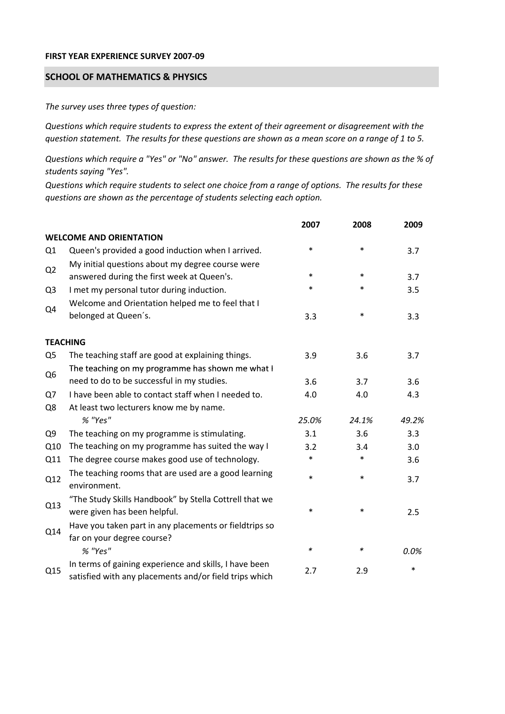## **FIRST YEAR EXPERIENCE SURVEY 2007‐09**

## **SCHOOL OF MATHEMATICS & PHYSICS**

*The survey uses three types of question:*

*Questions which require students to express the extent of their agreement or disagreement with the* question statement. The results for these questions are shown as a mean score on a range of 1 to 5.

Questions which require a "Yes" or "No" answer. The results for these questions are shown as the % of *students saying "Yes".*

Questions which require students to select one choice from a range of options. The results for these *questions are shown as the percentage of students selecting each option.*

|                |                                                                                                                  | 2007   | 2008   | 2009   |
|----------------|------------------------------------------------------------------------------------------------------------------|--------|--------|--------|
|                | <b>WELCOME AND ORIENTATION</b>                                                                                   |        |        |        |
| Q1             | Queen's provided a good induction when I arrived.                                                                | $\ast$ | $\ast$ | 3.7    |
| Q2             | My initial questions about my degree course were<br>answered during the first week at Queen's.                   | $\ast$ | $\ast$ | 3.7    |
| Q <sub>3</sub> | I met my personal tutor during induction.                                                                        | $\ast$ | $\ast$ | 3.5    |
|                | Welcome and Orientation helped me to feel that I                                                                 |        |        |        |
| Q4             | belonged at Queen's.                                                                                             | 3.3    | $\ast$ | 3.3    |
|                | <b>TEACHING</b>                                                                                                  |        |        |        |
| Q <sub>5</sub> | The teaching staff are good at explaining things.                                                                | 3.9    | 3.6    | 3.7    |
|                | The teaching on my programme has shown me what I                                                                 |        |        |        |
| Q <sub>6</sub> | need to do to be successful in my studies.                                                                       | 3.6    | 3.7    | 3.6    |
| Q7             | I have been able to contact staff when I needed to.                                                              | 4.0    | 4.0    | 4.3    |
| Q8             | At least two lecturers know me by name.                                                                          |        |        |        |
|                | % "Yes"                                                                                                          | 25.0%  | 24.1%  | 49.2%  |
| Q <sub>9</sub> | The teaching on my programme is stimulating.                                                                     | 3.1    | 3.6    | 3.3    |
| Q10            | The teaching on my programme has suited the way I                                                                | 3.2    | 3.4    | 3.0    |
| Q11            | The degree course makes good use of technology.                                                                  | $\ast$ | $\ast$ | 3.6    |
| Q12            | The teaching rooms that are used are a good learning<br>environment.                                             | $\ast$ | $\ast$ | 3.7    |
| Q13            | "The Study Skills Handbook" by Stella Cottrell that we<br>were given has been helpful.                           | $\ast$ | $\ast$ | 2.5    |
| Q14            | Have you taken part in any placements or fieldtrips so<br>far on your degree course?                             |        |        |        |
|                | % "Yes"                                                                                                          | $\ast$ | ∗      | 0.0%   |
| Q15            | In terms of gaining experience and skills, I have been<br>satisfied with any placements and/or field trips which | 2.7    | 2.9    | $\ast$ |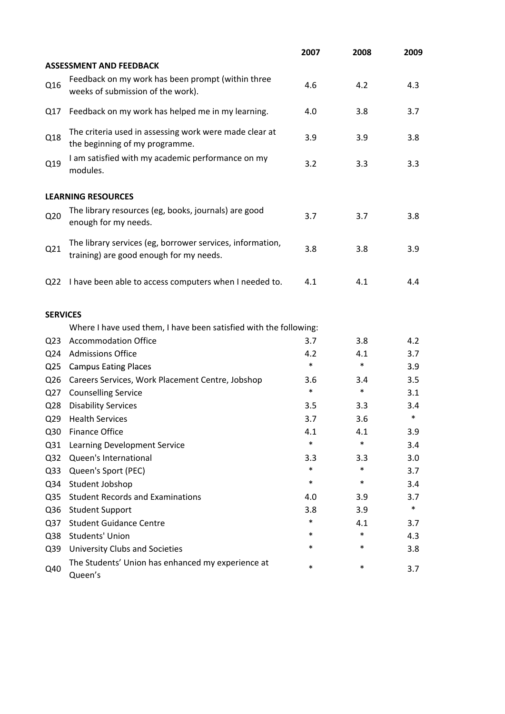|                 |                                                                                                      | 2007   | 2008   | 2009   |
|-----------------|------------------------------------------------------------------------------------------------------|--------|--------|--------|
|                 | <b>ASSESSMENT AND FEEDBACK</b>                                                                       |        |        |        |
| Q16             | Feedback on my work has been prompt (within three<br>weeks of submission of the work).               | 4.6    | 4.2    | 4.3    |
| Q17             | Feedback on my work has helped me in my learning.                                                    | 4.0    | 3.8    | 3.7    |
| Q18             | The criteria used in assessing work were made clear at<br>the beginning of my programme.             | 3.9    | 3.9    | 3.8    |
| Q19             | I am satisfied with my academic performance on my<br>modules.                                        | 3.2    | 3.3    | 3.3    |
|                 | <b>LEARNING RESOURCES</b>                                                                            |        |        |        |
| Q <sub>20</sub> | The library resources (eg, books, journals) are good<br>enough for my needs.                         | 3.7    | 3.7    | 3.8    |
| Q21             | The library services (eg, borrower services, information,<br>training) are good enough for my needs. | 3.8    | 3.8    | 3.9    |
| Q <sub>22</sub> | I have been able to access computers when I needed to.                                               | 4.1    | 4.1    | 4.4    |
| <b>SERVICES</b> |                                                                                                      |        |        |        |
|                 | Where I have used them, I have been satisfied with the following:                                    |        |        |        |
| Q <sub>23</sub> | <b>Accommodation Office</b>                                                                          | 3.7    | 3.8    | 4.2    |
| Q24             | <b>Admissions Office</b>                                                                             | 4.2    | 4.1    | 3.7    |
| Q <sub>25</sub> | <b>Campus Eating Places</b>                                                                          | $\ast$ | $\ast$ | 3.9    |
| Q <sub>26</sub> | Careers Services, Work Placement Centre, Jobshop                                                     | 3.6    | 3.4    | 3.5    |
| Q27             | <b>Counselling Service</b>                                                                           | $\ast$ | $\ast$ | 3.1    |
| Q <sub>28</sub> | <b>Disability Services</b>                                                                           | 3.5    | 3.3    | 3.4    |
| Q <sub>29</sub> | <b>Health Services</b>                                                                               | 3.7    | 3.6    | $\ast$ |
| Q30             | <b>Finance Office</b>                                                                                | 4.1    | 4.1    | 3.9    |
| Q <sub>31</sub> | Learning Development Service                                                                         | $\ast$ | $\ast$ | 3.4    |
| Q <sub>32</sub> | Queen's International                                                                                | 3.3    | 3.3    | 3.0    |
| Q <sub>33</sub> | Queen's Sport (PEC)                                                                                  | $\ast$ | $\ast$ | 3.7    |
| Q34             | Student Jobshop                                                                                      | $\ast$ | $\ast$ | 3.4    |
| Q <sub>35</sub> | <b>Student Records and Examinations</b>                                                              | 4.0    | 3.9    | 3.7    |
| Q36             | <b>Student Support</b>                                                                               | 3.8    | 3.9    | $\ast$ |
| Q <sub>37</sub> | <b>Student Guidance Centre</b>                                                                       | $\ast$ | 4.1    | 3.7    |
| Q38             | Students' Union                                                                                      | *      | $\ast$ | 4.3    |
| Q39             | University Clubs and Societies                                                                       | *      | $\ast$ | 3.8    |
| Q40             | The Students' Union has enhanced my experience at<br>Queen's                                         | $\ast$ | $\ast$ | 3.7    |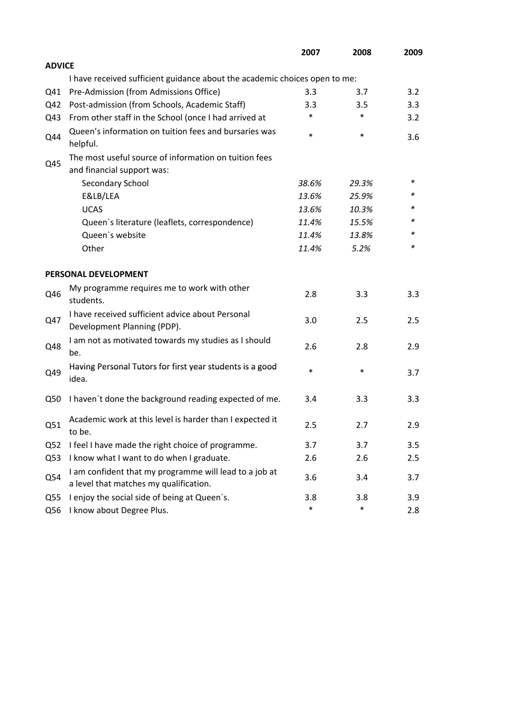|                 |                                                                                                  | 2007   | 2008   | 2009 |
|-----------------|--------------------------------------------------------------------------------------------------|--------|--------|------|
| <b>ADVICE</b>   |                                                                                                  |        |        |      |
|                 | I have received sufficient guidance about the academic choices open to me:                       |        |        |      |
| Q41             | Pre-Admission (from Admissions Office)                                                           | 3.3    | 3.7    | 3.2  |
| Q42             | Post-admission (from Schools, Academic Staff)                                                    | 3.3    | 3.5    | 3.3  |
| Q43             | From other staff in the School (once I had arrived at                                            | *      | $\ast$ | 3.2  |
| Q44             | Queen's information on tuition fees and bursaries was<br>helpful.                                | $\ast$ | $\ast$ | 3.6  |
|                 | The most useful source of information on tuition fees                                            |        |        |      |
| Q45             | and financial support was:                                                                       |        |        |      |
|                 | Secondary School                                                                                 | 38.6%  | 29.3%  | ∗    |
|                 | E&LB/LEA                                                                                         | 13.6%  | 25.9%  | *    |
|                 | <b>UCAS</b>                                                                                      | 13.6%  | 10.3%  |      |
|                 | Queen's literature (leaflets, correspondence)                                                    | 11.4%  | 15.5%  | *    |
|                 | Queen's website                                                                                  | 11.4%  | 13.8%  | *    |
|                 | Other                                                                                            | 11.4%  | 5.2%   | *    |
|                 | PERSONAL DEVELOPMENT                                                                             |        |        |      |
| Q46             | My programme requires me to work with other<br>students.                                         | 2.8    | 3.3    | 3.3  |
| Q47             | I have received sufficient advice about Personal<br>Development Planning (PDP).                  | 3.0    | 2.5    | 2.5  |
| Q48             | I am not as motivated towards my studies as I should<br>be.                                      | 2.6    | 2.8    | 2.9  |
| Q49             | Having Personal Tutors for first year students is a good<br>idea.                                | $\ast$ | $\ast$ | 3.7  |
| Q50             | I haven't done the background reading expected of me.                                            | 3.4    | 3.3    | 3.3  |
| Q51             | Academic work at this level is harder than I expected it<br>to be.                               | 2.5    | 2.7    | 2.9  |
| Q <sub>52</sub> | I feel I have made the right choice of programme.                                                | 3.7    | 3.7    | 3.5  |
| Q53             | I know what I want to do when I graduate.                                                        | 2.6    | 2.6    | 2.5  |
| Q54             | I am confident that my programme will lead to a job at<br>a level that matches my qualification. | 3.6    | 3.4    | 3.7  |
| Q55             | I enjoy the social side of being at Queen's.                                                     | 3.8    | 3.8    | 3.9  |
| Q56             | I know about Degree Plus.                                                                        | $\ast$ | $\ast$ | 2.8  |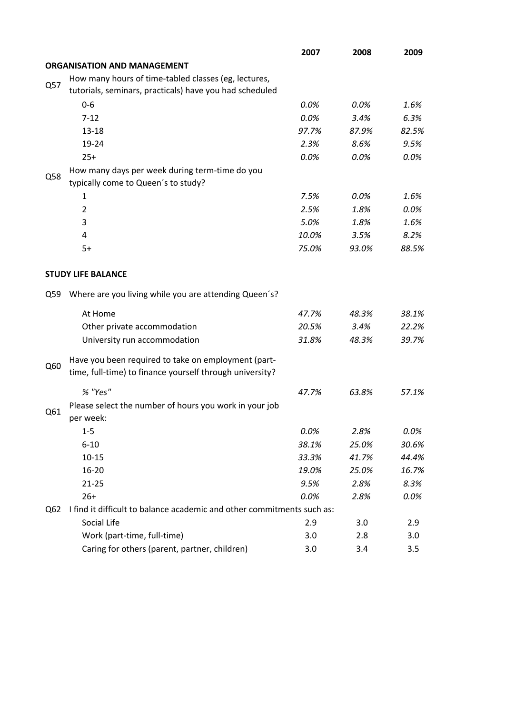|     |                                                                                                                 | 2007  | 2008  | 2009  |
|-----|-----------------------------------------------------------------------------------------------------------------|-------|-------|-------|
|     | <b>ORGANISATION AND MANAGEMENT</b>                                                                              |       |       |       |
|     | How many hours of time-tabled classes (eg, lectures,                                                            |       |       |       |
| Q57 | tutorials, seminars, practicals) have you had scheduled                                                         |       |       |       |
|     | $0 - 6$                                                                                                         | 0.0%  | 0.0%  | 1.6%  |
|     | $7 - 12$                                                                                                        | 0.0%  | 3.4%  | 6.3%  |
|     | $13 - 18$                                                                                                       | 97.7% | 87.9% | 82.5% |
|     | 19-24                                                                                                           | 2.3%  | 8.6%  | 9.5%  |
|     | $25+$                                                                                                           | 0.0%  | 0.0%  | 0.0%  |
|     | How many days per week during term-time do you                                                                  |       |       |       |
| Q58 | typically come to Queen's to study?                                                                             |       |       |       |
|     | 1                                                                                                               | 7.5%  | 0.0%  | 1.6%  |
|     | $\overline{2}$                                                                                                  | 2.5%  | 1.8%  | 0.0%  |
|     | 3                                                                                                               | 5.0%  | 1.8%  | 1.6%  |
|     | 4                                                                                                               | 10.0% | 3.5%  | 8.2%  |
|     | $5+$                                                                                                            | 75.0% | 93.0% | 88.5% |
|     | <b>STUDY LIFE BALANCE</b>                                                                                       |       |       |       |
| Q59 | Where are you living while you are attending Queen's?                                                           |       |       |       |
|     | At Home                                                                                                         | 47.7% | 48.3% | 38.1% |
|     | Other private accommodation                                                                                     | 20.5% | 3.4%  | 22.2% |
|     | University run accommodation                                                                                    | 31.8% | 48.3% | 39.7% |
|     |                                                                                                                 |       |       |       |
| Q60 | Have you been required to take on employment (part-<br>time, full-time) to finance yourself through university? |       |       |       |
|     | % "Yes"                                                                                                         | 47.7% | 63.8% | 57.1% |
| Q61 | Please select the number of hours you work in your job<br>per week:                                             |       |       |       |
|     | $1 - 5$                                                                                                         | 0.0%  | 2.8%  | 0.0%  |
|     | $6 - 10$                                                                                                        | 38.1% | 25.0% | 30.6% |
|     | $10 - 15$                                                                                                       | 33.3% | 41.7% | 44.4% |
|     | 16-20                                                                                                           | 19.0% | 25.0% | 16.7% |
|     | $21 - 25$                                                                                                       | 9.5%  | 2.8%  | 8.3%  |
|     | $26+$                                                                                                           | 0.0%  | 2.8%  | 0.0%  |
| Q62 | I find it difficult to balance academic and other commitments such as:                                          |       |       |       |
|     | Social Life                                                                                                     | 2.9   | 3.0   | 2.9   |
|     | Work (part-time, full-time)                                                                                     | 3.0   | 2.8   | 3.0   |
|     | Caring for others (parent, partner, children)                                                                   | 3.0   | 3.4   | 3.5   |